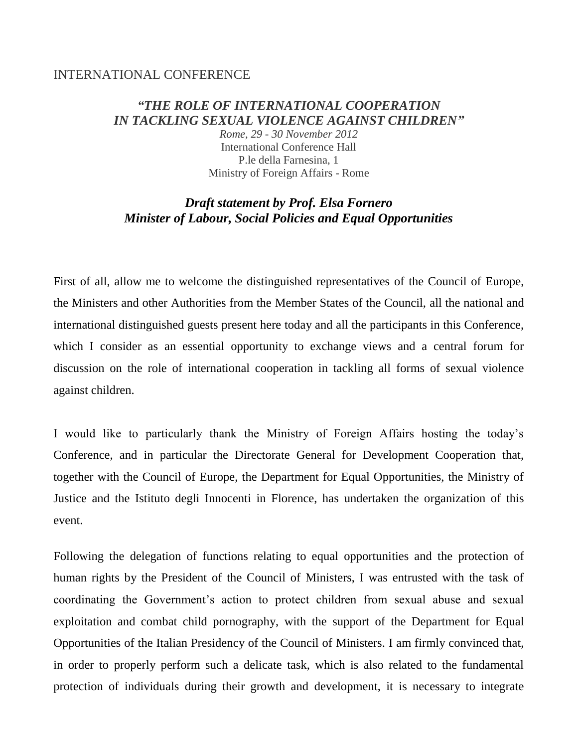## INTERNATIONAL CONFERENCE

## *"THE ROLE OF INTERNATIONAL COOPERATION IN TACKLING SEXUAL VIOLENCE AGAINST CHILDREN"*

*Rome, 29 - 30 November 2012* International Conference Hall P.le della Farnesina, 1 Ministry of Foreign Affairs - Rome

## *Draft statement by Prof. Elsa Fornero Minister of Labour, Social Policies and Equal Opportunities*

First of all, allow me to welcome the distinguished representatives of the Council of Europe, the Ministers and other Authorities from the Member States of the Council, all the national and international distinguished guests present here today and all the participants in this Conference, which I consider as an essential opportunity to exchange views and a central forum for discussion on the role of international cooperation in tackling all forms of sexual violence against children.

I would like to particularly thank the Ministry of Foreign Affairs hosting the today's Conference, and in particular the Directorate General for Development Cooperation that, together with the Council of Europe, the Department for Equal Opportunities, the Ministry of Justice and the Istituto degli Innocenti in Florence, has undertaken the organization of this event.

Following the delegation of functions relating to equal opportunities and the protection of human rights by the President of the Council of Ministers, I was entrusted with the task of coordinating the Government's action to protect children from sexual abuse and sexual exploitation and combat child pornography, with the support of the Department for Equal Opportunities of the Italian Presidency of the Council of Ministers. I am firmly convinced that, in order to properly perform such a delicate task, which is also related to the fundamental protection of individuals during their growth and development, it is necessary to integrate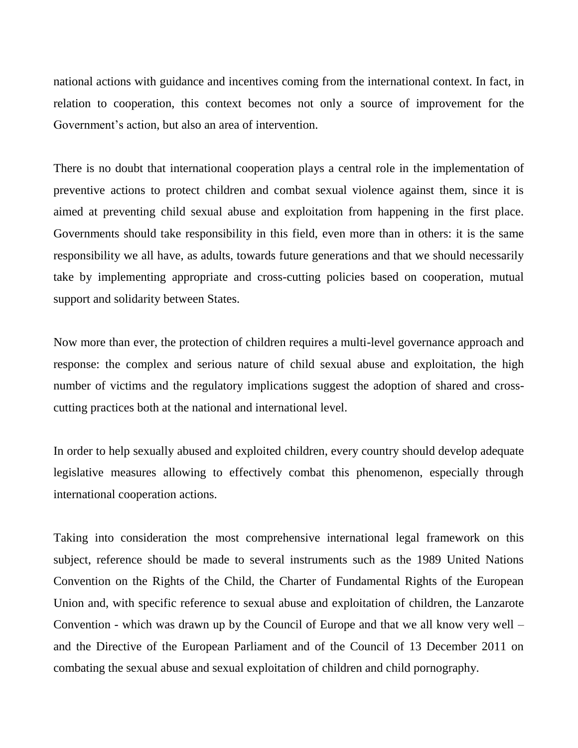national actions with guidance and incentives coming from the international context. In fact, in relation to cooperation, this context becomes not only a source of improvement for the Government's action, but also an area of intervention.

There is no doubt that international cooperation plays a central role in the implementation of preventive actions to protect children and combat sexual violence against them, since it is aimed at preventing child sexual abuse and exploitation from happening in the first place. Governments should take responsibility in this field, even more than in others: it is the same responsibility we all have, as adults, towards future generations and that we should necessarily take by implementing appropriate and cross-cutting policies based on cooperation, mutual support and solidarity between States.

Now more than ever, the protection of children requires a multi-level governance approach and response: the complex and serious nature of child sexual abuse and exploitation, the high number of victims and the regulatory implications suggest the adoption of shared and crosscutting practices both at the national and international level.

In order to help sexually abused and exploited children, every country should develop adequate legislative measures allowing to effectively combat this phenomenon, especially through international cooperation actions.

Taking into consideration the most comprehensive international legal framework on this subject, reference should be made to several instruments such as the 1989 United Nations Convention on the Rights of the Child, the Charter of Fundamental Rights of the European Union and, with specific reference to sexual abuse and exploitation of children, the Lanzarote Convention - which was drawn up by the Council of Europe and that we all know very well – and the Directive of the European Parliament and of the Council of 13 December 2011 on combating the sexual abuse and sexual exploitation of children and child pornography.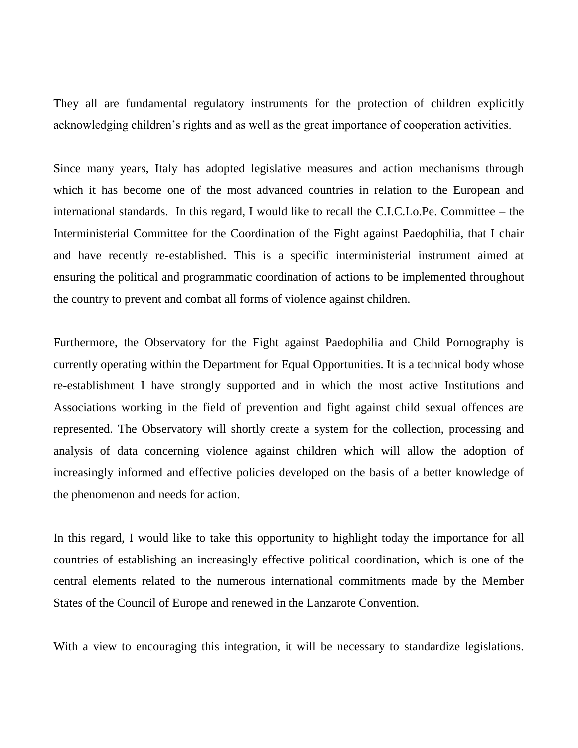They all are fundamental regulatory instruments for the protection of children explicitly acknowledging children's rights and as well as the great importance of cooperation activities.

Since many years, Italy has adopted legislative measures and action mechanisms through which it has become one of the most advanced countries in relation to the European and international standards. In this regard, I would like to recall the C.I.C.Lo.Pe. Committee – the Interministerial Committee for the Coordination of the Fight against Paedophilia, that I chair and have recently re-established. This is a specific interministerial instrument aimed at ensuring the political and programmatic coordination of actions to be implemented throughout the country to prevent and combat all forms of violence against children.

Furthermore, the Observatory for the Fight against Paedophilia and Child Pornography is currently operating within the Department for Equal Opportunities. It is a technical body whose re-establishment I have strongly supported and in which the most active Institutions and Associations working in the field of prevention and fight against child sexual offences are represented. The Observatory will shortly create a system for the collection, processing and analysis of data concerning violence against children which will allow the adoption of increasingly informed and effective policies developed on the basis of a better knowledge of the phenomenon and needs for action.

In this regard, I would like to take this opportunity to highlight today the importance for all countries of establishing an increasingly effective political coordination, which is one of the central elements related to the numerous international commitments made by the Member States of the Council of Europe and renewed in the Lanzarote Convention.

With a view to encouraging this integration, it will be necessary to standardize legislations.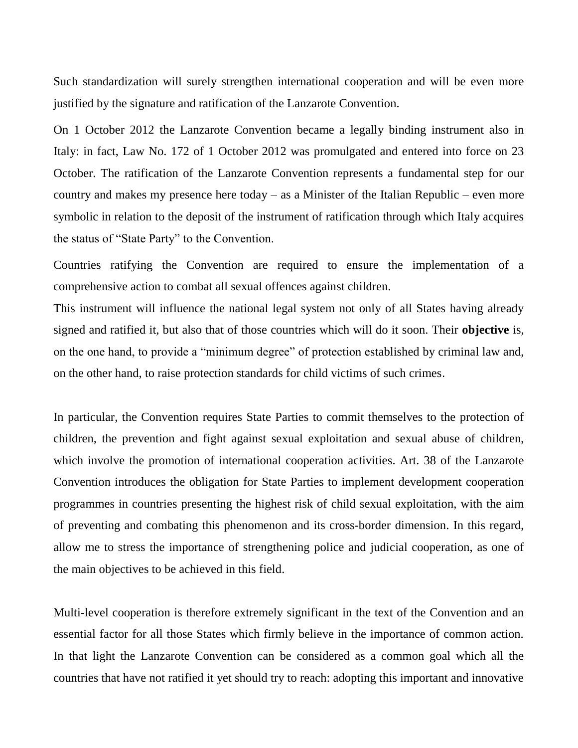Such standardization will surely strengthen international cooperation and will be even more justified by the signature and ratification of the Lanzarote Convention.

On 1 October 2012 the Lanzarote Convention became a legally binding instrument also in Italy: in fact, Law No. 172 of 1 October 2012 was promulgated and entered into force on 23 October. The ratification of the Lanzarote Convention represents a fundamental step for our country and makes my presence here today – as a Minister of the Italian Republic – even more symbolic in relation to the deposit of the instrument of ratification through which Italy acquires the status of "State Party" to the Convention.

Countries ratifying the Convention are required to ensure the implementation of a comprehensive action to combat all sexual offences against children.

This instrument will influence the national legal system not only of all States having already signed and ratified it, but also that of those countries which will do it soon. Their **objective** is, on the one hand, to provide a "minimum degree" of protection established by criminal law and, on the other hand, to raise protection standards for child victims of such crimes.

In particular, the Convention requires State Parties to commit themselves to the protection of children, the prevention and fight against sexual exploitation and sexual abuse of children, which involve the promotion of international cooperation activities. Art. 38 of the Lanzarote Convention introduces the obligation for State Parties to implement development cooperation programmes in countries presenting the highest risk of child sexual exploitation, with the aim of preventing and combating this phenomenon and its cross-border dimension. In this regard, allow me to stress the importance of strengthening police and judicial cooperation, as one of the main objectives to be achieved in this field.

Multi-level cooperation is therefore extremely significant in the text of the Convention and an essential factor for all those States which firmly believe in the importance of common action. In that light the Lanzarote Convention can be considered as a common goal which all the countries that have not ratified it yet should try to reach: adopting this important and innovative